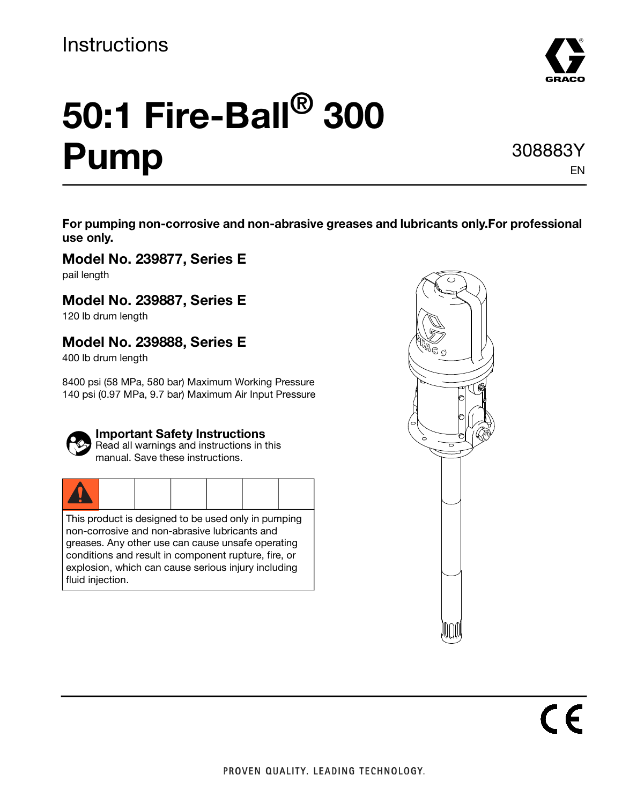

# **50:1 Fire-Ball® 300 Pump**

308883Y EN

**For pumping non-corrosive and non-abrasive greases and lubricants only.For professional use only.** 

**Model No. 239877, Series E** pail length

### **Model No. 239887, Series E**

120 lb drum length

### **Model No. 239888, Series E**

400 lb drum length

8400 psi (58 MPa, 580 bar) Maximum Working Pressure 140 psi (0.97 MPa, 9.7 bar) Maximum Air Input Pressure



#### **Important Safety Instructions**

Read all warnings and instructions in this manual. Save these instructions.

|--|

This product is designed to be used only in pumping non-corrosive and non-abrasive lubricants and greases. Any other use can cause unsafe operating conditions and result in component rupture, fire, or explosion, which can cause serious injury including fluid injection.

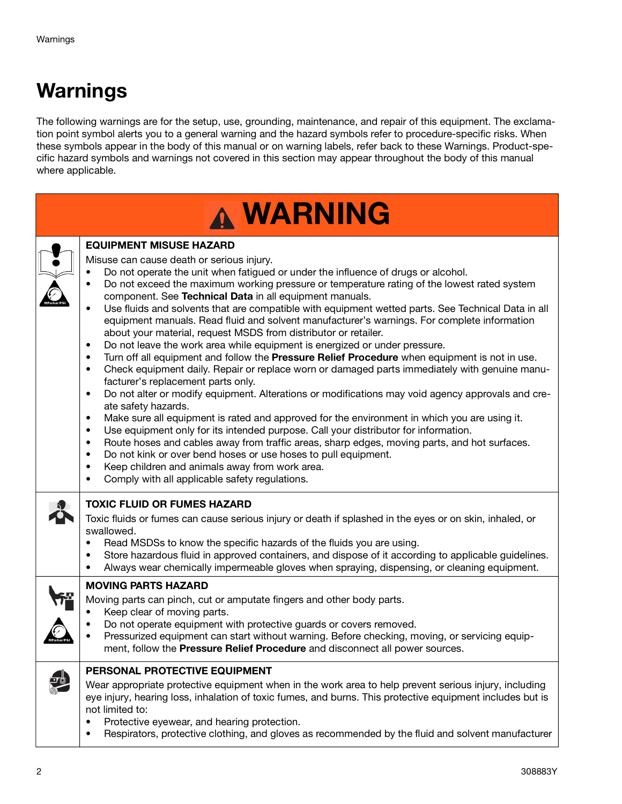# **Warnings**

The following warnings are for the setup, use, grounding, maintenance, and repair of this equipment. The exclamation point symbol alerts you to a general warning and the hazard symbols refer to procedure-specific risks. When these symbols appear in the body of this manual or on warning labels, refer back to these Warnings. Product-specific hazard symbols and warnings not covered in this section may appear throughout the body of this manual where applicable.

| <b>WARNING</b>                                                                                                                                                                                                                                                                                                                                                                                                                                                                                                                                                                                                                                                                                                                                                                                                                                                                                                                                                                                                                                                                                                                                                                                                                                                                                                                                                                                                                                                                                                                                                                                                 |
|----------------------------------------------------------------------------------------------------------------------------------------------------------------------------------------------------------------------------------------------------------------------------------------------------------------------------------------------------------------------------------------------------------------------------------------------------------------------------------------------------------------------------------------------------------------------------------------------------------------------------------------------------------------------------------------------------------------------------------------------------------------------------------------------------------------------------------------------------------------------------------------------------------------------------------------------------------------------------------------------------------------------------------------------------------------------------------------------------------------------------------------------------------------------------------------------------------------------------------------------------------------------------------------------------------------------------------------------------------------------------------------------------------------------------------------------------------------------------------------------------------------------------------------------------------------------------------------------------------------|
| <b>EQUIPMENT MISUSE HAZARD</b><br>Misuse can cause death or serious injury.<br>Do not operate the unit when fatigued or under the influence of drugs or alcohol.<br>Do not exceed the maximum working pressure or temperature rating of the lowest rated system<br>component. See Technical Data in all equipment manuals.<br>Use fluids and solvents that are compatible with equipment wetted parts. See Technical Data in all<br>equipment manuals. Read fluid and solvent manufacturer's warnings. For complete information<br>about your material, request MSDS from distributor or retailer.<br>Do not leave the work area while equipment is energized or under pressure.<br>$\bullet$<br>Turn off all equipment and follow the Pressure Relief Procedure when equipment is not in use.<br>$\bullet$<br>Check equipment daily. Repair or replace worn or damaged parts immediately with genuine manu-<br>$\bullet$<br>facturer's replacement parts only.<br>Do not alter or modify equipment. Alterations or modifications may void agency approvals and cre-<br>٠<br>ate safety hazards.<br>Make sure all equipment is rated and approved for the environment in which you are using it.<br>٠<br>Use equipment only for its intended purpose. Call your distributor for information.<br>$\bullet$<br>Route hoses and cables away from traffic areas, sharp edges, moving parts, and hot surfaces.<br>$\bullet$<br>Do not kink or over bend hoses or use hoses to pull equipment.<br>$\bullet$<br>Keep children and animals away from work area.<br>٠<br>Comply with all applicable safety regulations. |
| <b>TOXIC FLUID OR FUMES HAZARD</b><br>Toxic fluids or fumes can cause serious injury or death if splashed in the eyes or on skin, inhaled, or<br>swallowed.<br>Read MSDSs to know the specific hazards of the fluids you are using.<br>Store hazardous fluid in approved containers, and dispose of it according to applicable guidelines.<br>Always wear chemically impermeable gloves when spraying, dispensing, or cleaning equipment.                                                                                                                                                                                                                                                                                                                                                                                                                                                                                                                                                                                                                                                                                                                                                                                                                                                                                                                                                                                                                                                                                                                                                                      |
| <b>MOVING PARTS HAZARD</b><br>Moving parts can pinch, cut or amputate fingers and other body parts.<br>Keep clear of moving parts.<br>Do not operate equipment with protective guards or covers removed.<br>Pressurized equipment can start without warning. Before checking, moving, or servicing equip-<br>ment, follow the Pressure Relief Procedure and disconnect all power sources.                                                                                                                                                                                                                                                                                                                                                                                                                                                                                                                                                                                                                                                                                                                                                                                                                                                                                                                                                                                                                                                                                                                                                                                                                      |
| PERSONAL PROTECTIVE EQUIPMENT<br>Wear appropriate protective equipment when in the work area to help prevent serious injury, including<br>eye injury, hearing loss, inhalation of toxic fumes, and burns. This protective equipment includes but is<br>not limited to:<br>Protective eyewear, and hearing protection.<br>$\bullet$<br>Respirators, protective clothing, and gloves as recommended by the fluid and solvent manufacturer<br>٠                                                                                                                                                                                                                                                                                                                                                                                                                                                                                                                                                                                                                                                                                                                                                                                                                                                                                                                                                                                                                                                                                                                                                                   |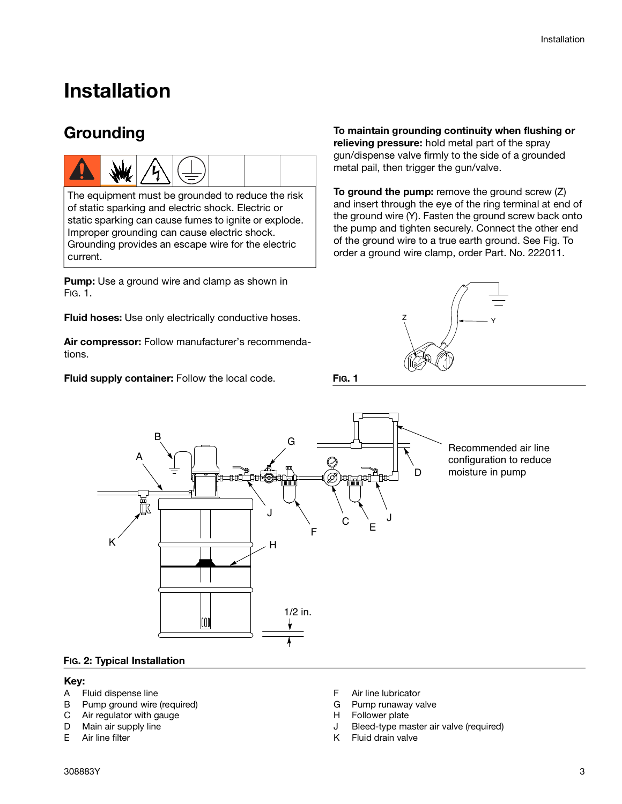### **Installation**

### **Grounding**



The equipment must be grounded to reduce the risk of static sparking and electric shock. Electric or static sparking can cause fumes to ignite or explode. Improper grounding can cause electric shock. Grounding provides an escape wire for the electric current.

**Pump:** Use a ground wire and clamp as shown in [FIG. 1.](#page-2-0)

**Fluid hoses:** Use only electrically conductive hoses.

**Air compressor:** Follow manufacturer's recommendations.

**Fluid supply container:** Follow the local code.

**To maintain grounding continuity when flushing or relieving pressure:** hold metal part of the spray gun/dispense valve firmly to the side of a grounded metal pail, then trigger the gun/valve.

**To ground the pump:** remove the ground screw (Z) and insert through the eye of the ring terminal at end of the ground wire (Y). Fasten the ground screw back onto the pump and tighten securely. Connect the other end of the ground wire to a true earth ground. See Fig. To order a ground wire clamp, order Part. No. 222011.



<span id="page-2-0"></span>**FIG. 1**



Recommended air line configuration to reduce moisture in pump

#### <span id="page-2-1"></span>**FIG. 2: Typical Installation**

#### **Key:**

- A Fluid dispense line
- B Pump ground wire (required)
- C Air regulator with gauge
- D Main air supply line<br>E Air line filter
- Air line filter
- F Air line lubricator
- G Pump runaway valve
- H Follower plate
- J Bleed-type master air valve (required)
- K Fluid drain valve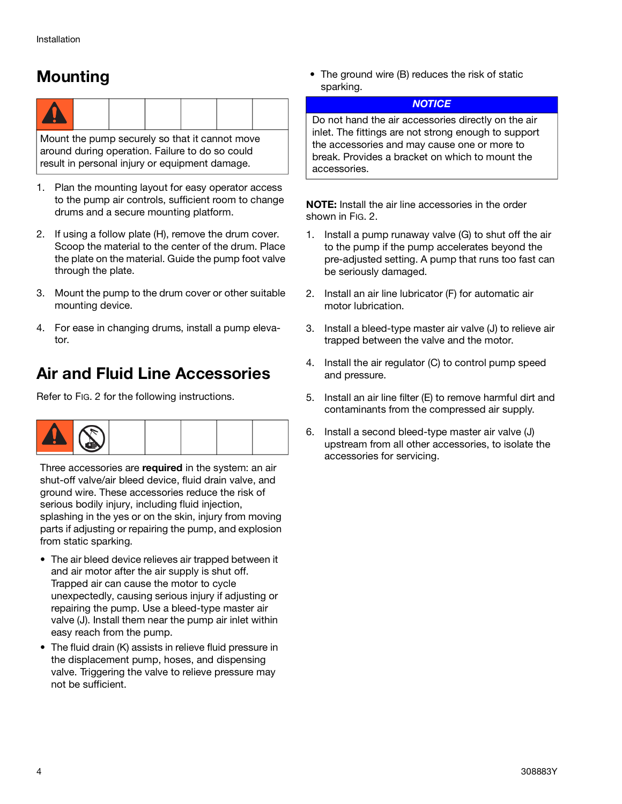### **Mounting**



Mount the pump securely so that it cannot move around during operation. Failure to do so could result in personal injury or equipment damage.

- 1. Plan the mounting layout for easy operator access to the pump air controls, sufficient room to change drums and a secure mounting platform.
- 2. If using a follow plate (H), remove the drum cover. Scoop the material to the center of the drum. Place the plate on the material. Guide the pump foot valve through the plate.
- 3. Mount the pump to the drum cover or other suitable mounting device.
- 4. For ease in changing drums, install a pump elevator.

### **Air and Fluid Line Accessories**

Refer to [FIG. 2](#page-2-1) for the following instructions.



Three accessories are **required** in the system: an air shut-off valve/air bleed device, fluid drain valve, and ground wire. These accessories reduce the risk of serious bodily injury, including fluid injection, splashing in the yes or on the skin, injury from moving parts if adjusting or repairing the pump, and explosion from static sparking.

- The air bleed device relieves air trapped between it and air motor after the air supply is shut off. Trapped air can cause the motor to cycle unexpectedly, causing serious injury if adjusting or repairing the pump. Use a bleed-type master air valve (J). Install them near the pump air inlet within easy reach from the pump.
- The fluid drain (K) assists in relieve fluid pressure in the displacement pump, hoses, and dispensing valve. Triggering the valve to relieve pressure may not be sufficient.

• The ground wire (B) reduces the risk of static sparking.

#### **NOTICE**

Do not hand the air accessories directly on the air inlet. The fittings are not strong enough to support the accessories and may cause one or more to break. Provides a bracket on which to mount the accessories.

**NOTE:** Install the air line accessories in the order shown in [FIG. 2](#page-2-1).

- 1. Install a pump runaway valve (G) to shut off the air to the pump if the pump accelerates beyond the pre-adjusted setting. A pump that runs too fast can be seriously damaged.
- 2. Install an air line lubricator (F) for automatic air motor lubrication.
- 3. Install a bleed-type master air valve (J) to relieve air trapped between the valve and the motor.
- 4. Install the air regulator (C) to control pump speed and pressure.
- 5. Install an air line filter (E) to remove harmful dirt and contaminants from the compressed air supply.
- 6. Install a second bleed-type master air valve (J) upstream from all other accessories, to isolate the accessories for servicing.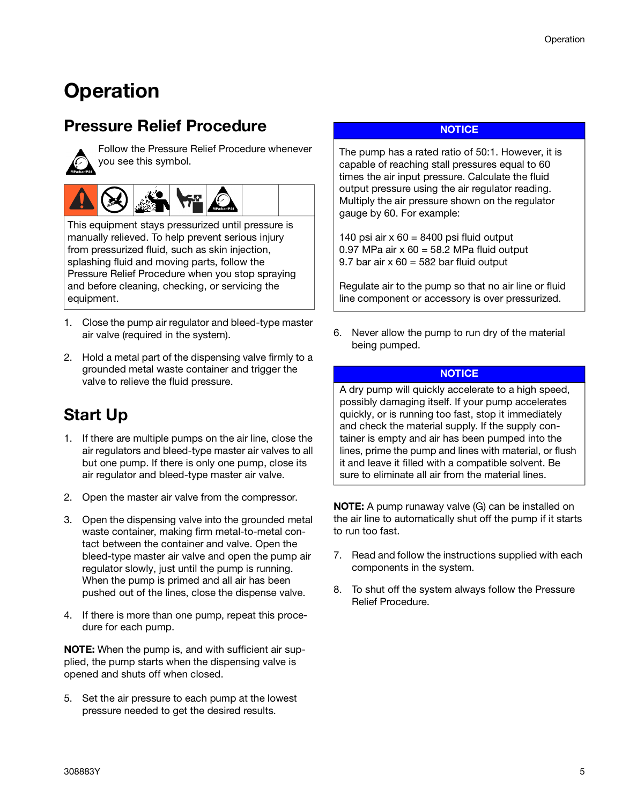# **Operation**

### <span id="page-4-0"></span>**Pressure Relief Procedure**



Follow the Pressure Relief Procedure whenever you see this symbol.



This equipment stays pressurized until pressure is manually relieved. To help prevent serious injury from pressurized fluid, such as skin injection, splashing fluid and moving parts, follow the Pressure Relief Procedure when you stop spraying and before cleaning, checking, or servicing the equipment.

- 1. Close the pump air regulator and bleed-type master air valve (required in the system).
- 2. Hold a metal part of the dispensing valve firmly to a grounded metal waste container and trigger the valve to relieve the fluid pressure.

### **Start Up**

- 1. If there are multiple pumps on the air line, close the air regulators and bleed-type master air valves to all but one pump. If there is only one pump, close its air regulator and bleed-type master air valve.
- 2. Open the master air valve from the compressor.
- 3. Open the dispensing valve into the grounded metal waste container, making firm metal-to-metal contact between the container and valve. Open the bleed-type master air valve and open the pump air regulator slowly, just until the pump is running. When the pump is primed and all air has been pushed out of the lines, close the dispense valve.
- 4. If there is more than one pump, repeat this procedure for each pump.

**NOTE:** When the pump is, and with sufficient air supplied, the pump starts when the dispensing valve is opened and shuts off when closed.

5. Set the air pressure to each pump at the lowest pressure needed to get the desired results.

#### **NOTICE**

The pump has a rated ratio of 50:1. However, it is capable of reaching stall pressures equal to 60 times the air input pressure. Calculate the fluid output pressure using the air regulator reading. Multiply the air pressure shown on the regulator gauge by 60. For example:

140 psi air  $x 60 = 8400$  psi fluid output 0.97 MPa air  $x$  60 = 58.2 MPa fluid output 9.7 bar air  $x 60 = 582$  bar fluid output

Regulate air to the pump so that no air line or fluid line component or accessory is over pressurized.

6. Never allow the pump to run dry of the material being pumped.

#### **NOTICE**

A dry pump will quickly accelerate to a high speed, possibly damaging itself. If your pump accelerates quickly, or is running too fast, stop it immediately and check the material supply. If the supply container is empty and air has been pumped into the lines, prime the pump and lines with material, or flush it and leave it filled with a compatible solvent. Be sure to eliminate all air from the material lines.

**NOTE:** A pump runaway valve (G) can be installed on the air line to automatically shut off the pump if it starts to run too fast.

- 7. Read and follow the instructions supplied with each components in the system.
- 8. To shut off the system always follow the Pressure Relief Procedure.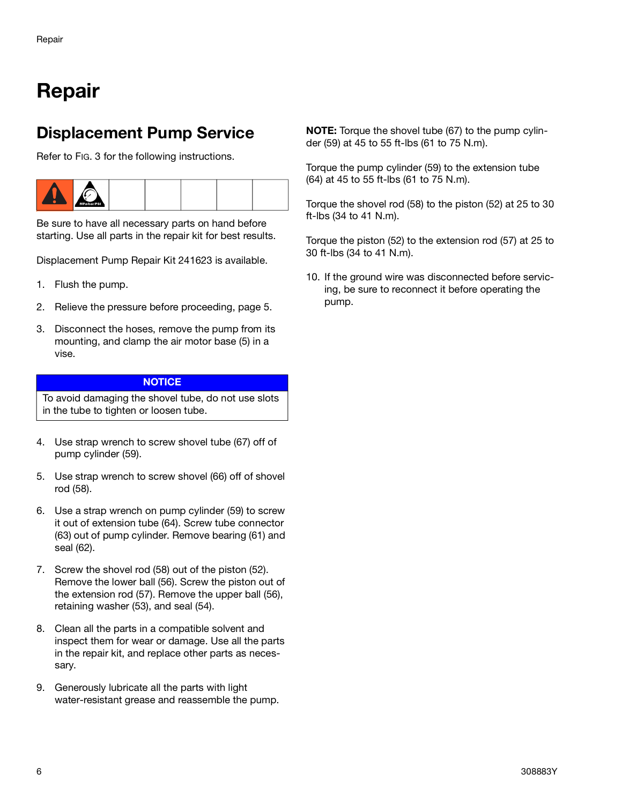# **Repair**

### **Displacement Pump Service**

Refer to [FIG. 3](#page-6-0) for the following instructions.



Be sure to have all necessary parts on hand before starting. Use all parts in the repair kit for best results.

Displacement Pump Repair Kit 241623 is available.

- 1. Flush the pump.
- 2. Relieve the pressure before proceeding, page [5](#page-4-0).
- 3. Disconnect the hoses, remove the pump from its mounting, and clamp the air motor base (5) in a vise.

#### **NOTICE**

To avoid damaging the shovel tube, do not use slots in the tube to tighten or loosen tube.

- 4. Use strap wrench to screw shovel tube (67) off of pump cylinder (59).
- 5. Use strap wrench to screw shovel (66) off of shovel rod (58).
- 6. Use a strap wrench on pump cylinder (59) to screw it out of extension tube (64). Screw tube connector (63) out of pump cylinder. Remove bearing (61) and seal (62).
- 7. Screw the shovel rod (58) out of the piston (52). Remove the lower ball (56). Screw the piston out of the extension rod (57). Remove the upper ball (56), retaining washer (53), and seal (54).
- 8. Clean all the parts in a compatible solvent and inspect them for wear or damage. Use all the parts in the repair kit, and replace other parts as necessary.
- 9. Generously lubricate all the parts with light water-resistant grease and reassemble the pump.

**NOTE:** Torque the shovel tube (67) to the pump cylinder (59) at 45 to 55 ft-lbs (61 to 75 N.m).

Torque the pump cylinder (59) to the extension tube (64) at 45 to 55 ft-lbs (61 to 75 N.m).

Torque the shovel rod (58) to the piston (52) at 25 to 30 ft-lbs (34 to 41 N.m).

Torque the piston (52) to the extension rod (57) at 25 to 30 ft-lbs (34 to 41 N.m).

10. If the ground wire was disconnected before servicing, be sure to reconnect it before operating the pump.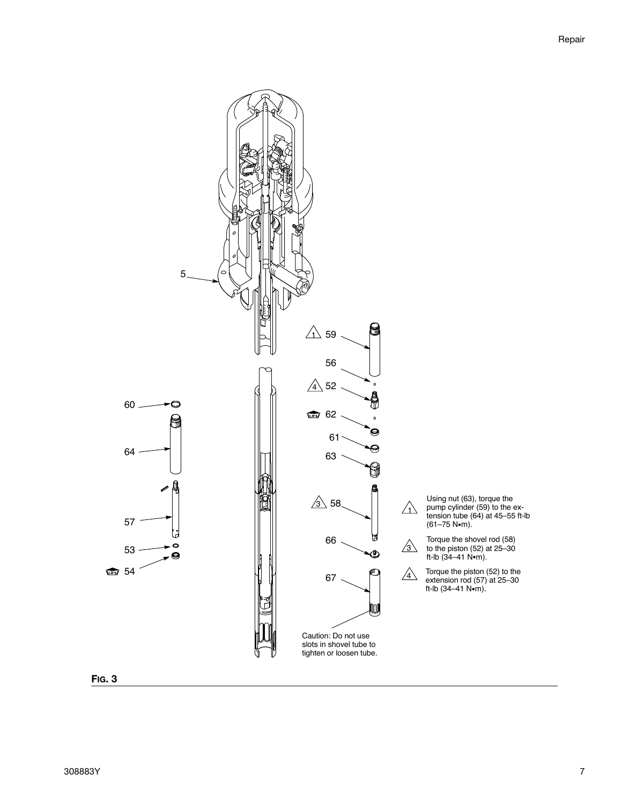

<span id="page-6-0"></span>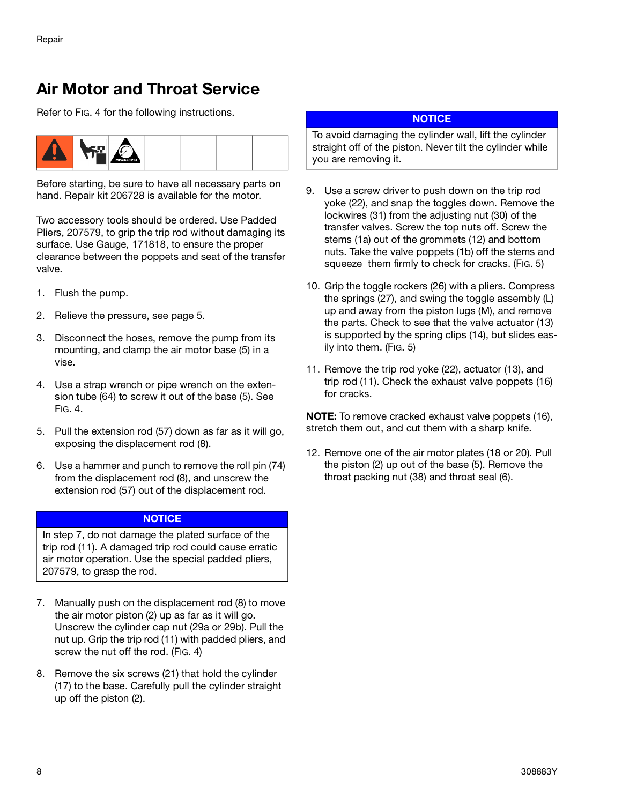### **Air Motor and Throat Service**

Refer to [FIG. 4](#page-8-0) for the following instructions.



Before starting, be sure to have all necessary parts on hand. Repair kit 206728 is available for the motor.

Two accessory tools should be ordered. Use Padded Pliers, 207579, to grip the trip rod without damaging its surface. Use Gauge, 171818, to ensure the proper clearance between the poppets and seat of the transfer valve.

- 1. Flush the pump.
- 2. Relieve the pressure, see page [5](#page-4-0).
- 3. Disconnect the hoses, remove the pump from its mounting, and clamp the air motor base (5) in a vise.
- 4. Use a strap wrench or pipe wrench on the extension tube (64) to screw it out of the base (5). See [FIG. 4.](#page-8-0)
- 5. Pull the extension rod (57) down as far as it will go, exposing the displacement rod (8).
- 6. Use a hammer and punch to remove the roll pin (74) from the displacement rod (8), and unscrew the extension rod (57) out of the displacement rod.

#### **NOTICE**

In step 7, do not damage the plated surface of the trip rod (11). A damaged trip rod could cause erratic air motor operation. Use the special padded pliers, 207579, to grasp the rod.

- 7. Manually push on the displacement rod (8) to move the air motor piston (2) up as far as it will go. Unscrew the cylinder cap nut (29a or 29b). Pull the nut up. Grip the trip rod (11) with padded pliers, and screw the nut off the rod. [\(FIG. 4](#page-8-0))
- 8. Remove the six screws (21) that hold the cylinder (17) to the base. Carefully pull the cylinder straight up off the piston (2).

#### **NOTICE**

To avoid damaging the cylinder wall, lift the cylinder straight off of the piston. Never tilt the cylinder while you are removing it.

- 9. Use a screw driver to push down on the trip rod yoke (22), and snap the toggles down. Remove the lockwires (31) from the adjusting nut (30) of the transfer valves. Screw the top nuts off. Screw the stems (1a) out of the grommets (12) and bottom nuts. Take the valve poppets (1b) off the stems and squeeze them firmly to check for cracks. [\(FIG. 5](#page-9-0))
- 10. Grip the toggle rockers (26) with a pliers. Compress the springs (27), and swing the toggle assembly (L) up and away from the piston lugs (M), and remove the parts. Check to see that the valve actuator (13) is supported by the spring clips (14), but slides easily into them. ([FIG. 5\)](#page-9-0)
- 11. Remove the trip rod yoke (22), actuator (13), and trip rod (11). Check the exhaust valve poppets (16) for cracks.

**NOTE:** To remove cracked exhaust valve poppets (16), stretch them out, and cut them with a sharp knife.

12. Remove one of the air motor plates (18 or 20). Pull the piston (2) up out of the base (5). Remove the throat packing nut (38) and throat seal (6).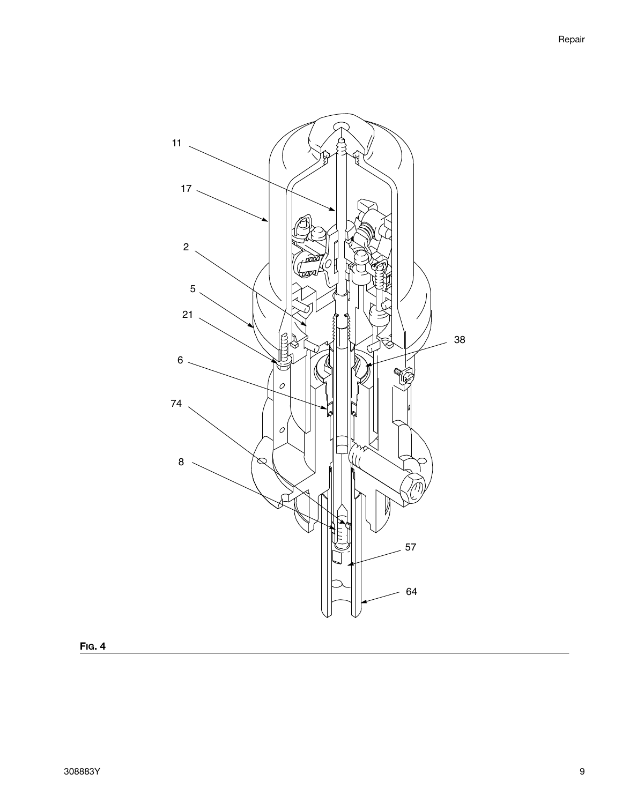

<span id="page-8-0"></span>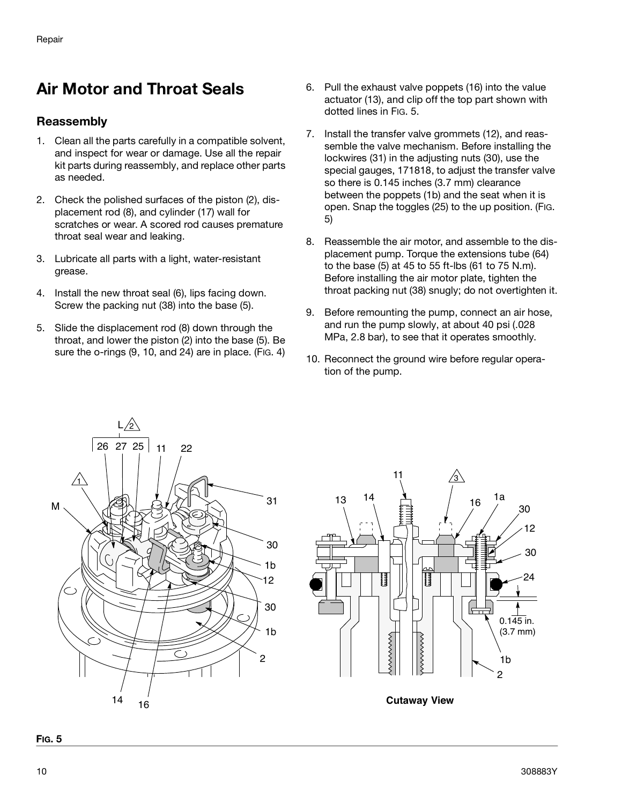### **Air Motor and Throat Seals**

#### **Reassembly**

- 1. Clean all the parts carefully in a compatible solvent, and inspect for wear or damage. Use all the repair kit parts during reassembly, and replace other parts as needed.
- 2. Check the polished surfaces of the piston (2), displacement rod (8), and cylinder (17) wall for scratches or wear. A scored rod causes premature throat seal wear and leaking.
- 3. Lubricate all parts with a light, water-resistant grease.
- 4. Install the new throat seal (6), lips facing down. Screw the packing nut (38) into the base (5).
- 5. Slide the displacement rod (8) down through the throat, and lower the piston (2) into the base (5). Be sure the o-rings (9, 10, and 24) are in place. ([FIG. 4](#page-8-0))
- 6. Pull the exhaust valve poppets (16) into the value actuator (13), and clip off the top part shown with dotted lines in [FIG. 5](#page-9-0).
- 7. Install the transfer valve grommets (12), and reassemble the valve mechanism. Before installing the lockwires (31) in the adjusting nuts (30), use the special gauges, 171818, to adjust the transfer valve so there is 0.145 inches (3.7 mm) clearance between the poppets (1b) and the seat when it is open. Snap the toggles (25) to the up position. ([FIG.](#page-9-0)  [5](#page-9-0))
- 8. Reassemble the air motor, and assemble to the displacement pump. Torque the extensions tube (64) to the base (5) at 45 to 55 ft-lbs (61 to 75 N.m). Before installing the air motor plate, tighten the throat packing nut (38) snugly; do not overtighten it.
- 9. Before remounting the pump, connect an air hose, and run the pump slowly, at about 40 psi (.028 MPa, 2.8 bar), to see that it operates smoothly.
- 10. Reconnect the ground wire before regular operation of the pump.





<span id="page-9-0"></span>**FIG. 5**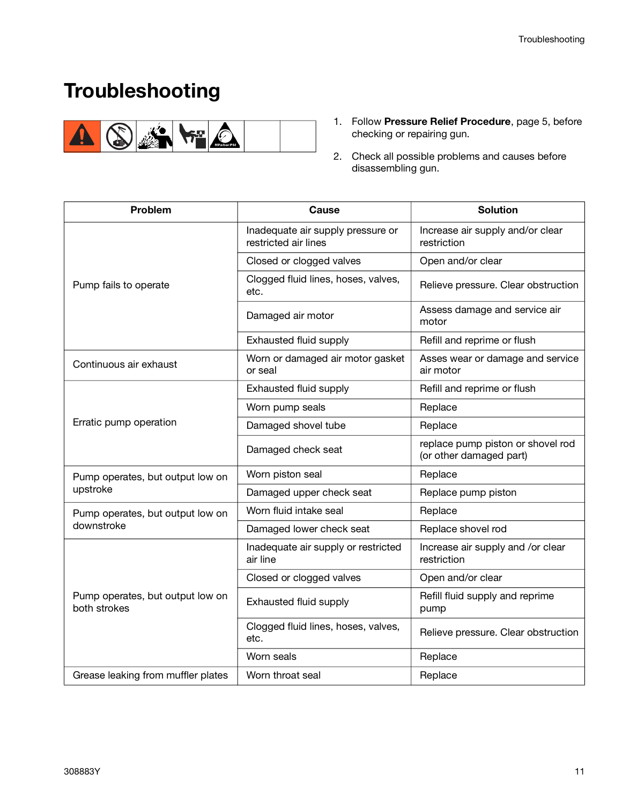# **Troubleshooting**



- 1. Follow **[Pressure Relief Procedure](#page-4-0)**, page [5](#page-4-0), before checking or repairing gun.
- 2. Check all possible problems and causes before disassembling gun.

| Problem                                          | Cause                                                     | <b>Solution</b>                                              |
|--------------------------------------------------|-----------------------------------------------------------|--------------------------------------------------------------|
|                                                  | Inadequate air supply pressure or<br>restricted air lines | Increase air supply and/or clear<br>restriction              |
|                                                  | Closed or clogged valves                                  | Open and/or clear                                            |
| Pump fails to operate                            | Clogged fluid lines, hoses, valves,<br>etc.               | Relieve pressure. Clear obstruction                          |
|                                                  | Damaged air motor                                         | Assess damage and service air<br>motor                       |
|                                                  | Exhausted fluid supply                                    | Refill and reprime or flush                                  |
| Continuous air exhaust                           | Worn or damaged air motor gasket<br>or seal               | Asses wear or damage and service<br>air motor                |
|                                                  | Exhausted fluid supply                                    | Refill and reprime or flush                                  |
|                                                  | Worn pump seals                                           | Replace                                                      |
| Erratic pump operation                           | Damaged shovel tube                                       | Replace                                                      |
|                                                  | Damaged check seat                                        | replace pump piston or shovel rod<br>(or other damaged part) |
| Pump operates, but output low on                 | Worn piston seal                                          | Replace                                                      |
| upstroke                                         | Damaged upper check seat                                  | Replace pump piston                                          |
| Pump operates, but output low on                 | Worn fluid intake seal                                    | Replace                                                      |
| downstroke                                       | Damaged lower check seat                                  | Replace shovel rod                                           |
|                                                  | Inadequate air supply or restricted<br>air line           | Increase air supply and /or clear<br>restriction             |
|                                                  | Closed or clogged valves                                  | Open and/or clear                                            |
| Pump operates, but output low on<br>both strokes | Exhausted fluid supply                                    | Refill fluid supply and reprime<br>pump                      |
|                                                  | Clogged fluid lines, hoses, valves,<br>etc.               | Relieve pressure. Clear obstruction                          |
|                                                  | Worn seals                                                | Replace                                                      |
| Grease leaking from muffler plates               | Worn throat seal                                          | Replace                                                      |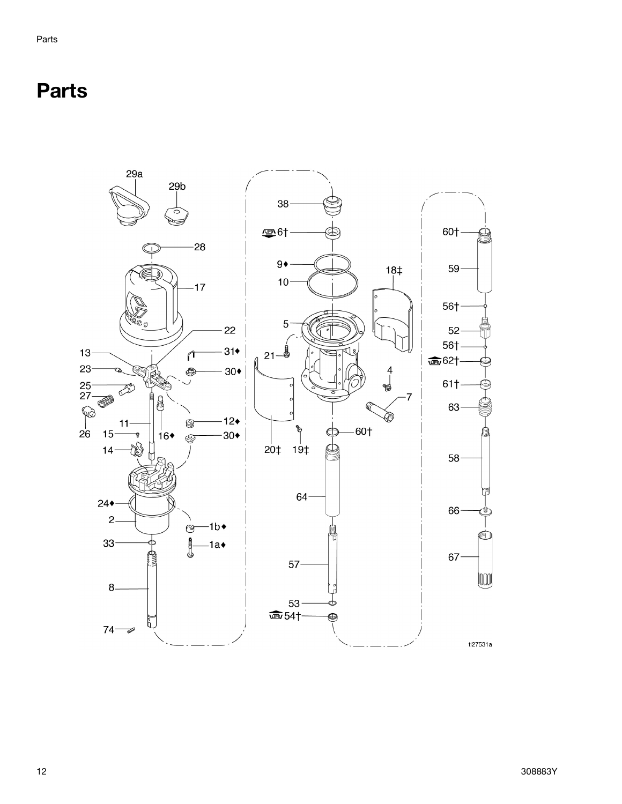# **Parts**

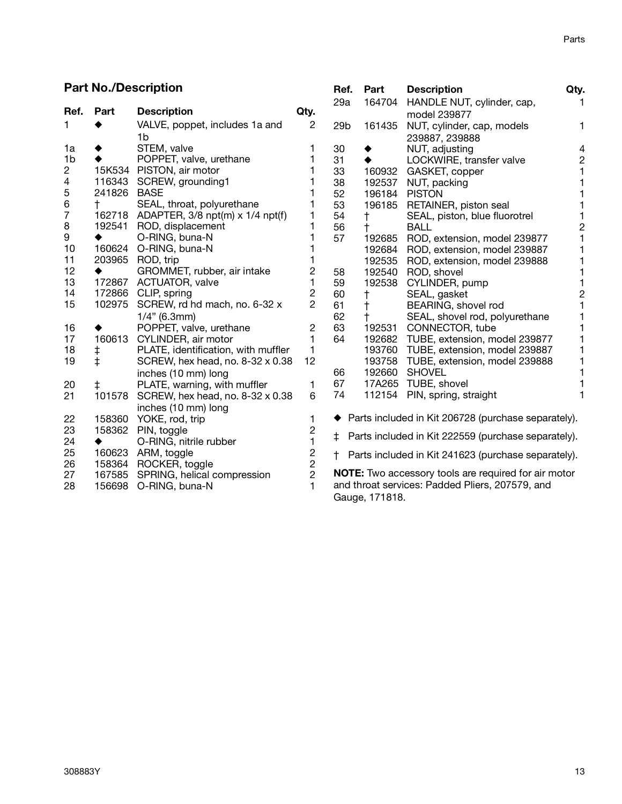**Ref. Part Description Qty.**

#### **Part No./Description**

| Ref.                     | Part                     | <b>Description</b>                      | Qty.           | 29a             |                          | 164704 HANDLE NUT, cylinder, cap,                           | 1              |
|--------------------------|--------------------------|-----------------------------------------|----------------|-----------------|--------------------------|-------------------------------------------------------------|----------------|
|                          |                          |                                         | $\overline{2}$ |                 |                          | model 239877                                                |                |
| 1.                       |                          | VALVE, poppet, includes 1a and          |                | 29 <sub>b</sub> | 161435                   | NUT, cylinder, cap, models                                  | 1              |
|                          |                          | 1b                                      |                |                 |                          | 239887, 239888                                              |                |
| 1a                       |                          | STEM, valve                             | 1              | 30              |                          | NUT, adjusting                                              | 4              |
| 1 <sub>b</sub>           |                          | POPPET, valve, urethane                 | 1              | 31              | ٠                        | LOCKWIRE, transfer valve                                    | $\overline{c}$ |
| $\overline{c}$           |                          | 15K534 PISTON, air motor                |                | 33              |                          | 160932 GASKET, copper                                       |                |
| $\overline{\mathcal{L}}$ |                          | 116343 SCREW, grounding1                |                | 38              | 192537                   | NUT, packing                                                |                |
| 5                        | 241826 BASE              |                                         |                | 52              |                          | 196184 PISTON                                               |                |
| 6                        | $^{\dagger}$             | SEAL, throat, polyurethane              |                | 53              |                          | 196185 RETAINER, piston seal                                |                |
| 7                        |                          | 162718 ADAPTER, 3/8 npt(m) x 1/4 npt(f) | 1<br>1         | 54              | $^\dagger$               | SEAL, piston, blue fluorotrel                               |                |
| 8<br>$\boldsymbol{9}$    | 192541                   | ROD, displacement                       | 1              | 56              | $^\dagger$               | <b>BALL</b>                                                 | $\overline{2}$ |
|                          | 160624                   | O-RING, buna-N<br>O-RING, buna-N        |                | 57              | 192685                   | ROD, extension, model 239877                                |                |
| 10<br>11                 | 203965                   | ROD, trip                               |                |                 | 192684                   | ROD, extension, model 239887                                |                |
| 12                       |                          | GROMMET, rubber, air intake             | 2              |                 | 192535                   | ROD, extension, model 239888                                |                |
| 13                       | 172867                   | ACTUATOR, valve                         | 1              | 58              | 192540                   | ROD, shovel                                                 |                |
| 14                       | 172866                   | CLIP, spring                            | 2              | 59<br>60        | 192538                   | CYLINDER, pump                                              |                |
| 15                       | 102975                   | SCREW, rd hd mach, no. 6-32 x           | $\overline{2}$ | 61              | t                        | SEAL, gasket<br>BEARING, shovel rod                         | 2              |
|                          |                          | $1/4$ " (6.3mm)                         |                | 62              | $^\dagger$<br>$\ddagger$ | SEAL, shovel rod, polyurethane                              |                |
| 16                       |                          | POPPET, valve, urethane                 | $\overline{c}$ | 63              |                          | 192531 CONNECTOR, tube                                      |                |
| 17                       | 160613                   | CYLINDER, air motor                     | 1              | 64              |                          | 192682 TUBE, extension, model 239877                        |                |
| 18                       |                          | PLATE, identification, with muffler     | 1              |                 |                          | 193760 TUBE, extension, model 239887                        | 1              |
| 19                       | $\ddagger$<br>$\ddagger$ | SCREW, hex head, no. 8-32 x 0.38        | 12             |                 |                          | 193758 TUBE, extension, model 239888                        |                |
|                          |                          | inches (10 mm) long                     |                | 66              |                          | 192660 SHOVEL                                               |                |
| 20                       | $\ddagger$               | PLATE, warning, with muffler            | 1              | 67              |                          | 17A265 TUBE, shovel                                         |                |
| 21                       | 101578                   | SCREW, hex head, no. 8-32 x 0.38        | 6              | 74              |                          | 112154 PIN, spring, straight                                |                |
|                          |                          |                                         |                |                 |                          |                                                             |                |
|                          |                          | inches (10 mm) long                     |                |                 |                          | Parts included in Kit 206728 (purchase separately).         |                |
| 22<br>23                 | 158360<br>158362         | YOKE, rod, trip<br>PIN, toggle          | 1              |                 |                          |                                                             |                |
| 24                       | ٠                        | O-RING, nitrile rubber                  | $\frac{2}{1}$  | $\pm$           |                          | Parts included in Kit 222559 (purchase separately).         |                |
| 25                       | 160623                   | ARM, toggle                             |                |                 |                          |                                                             |                |
| 26                       |                          | 158364 ROCKER, toggle                   | $\frac{2}{2}$  | $^+$            |                          | Parts included in Kit 241623 (purchase separately).         |                |
| 27                       |                          | 167585 SPRING, helical compression      | $\overline{2}$ |                 |                          | <b>NOTE:</b> Two accessory tools are required for air motor |                |
| 28                       | 156698                   | O-RING, buna-N                          | 1              |                 |                          | and throat services: Padded Pliers, 207579, and             |                |
|                          |                          |                                         |                |                 |                          |                                                             |                |
|                          |                          |                                         |                |                 | Gauge, 171818.           |                                                             |                |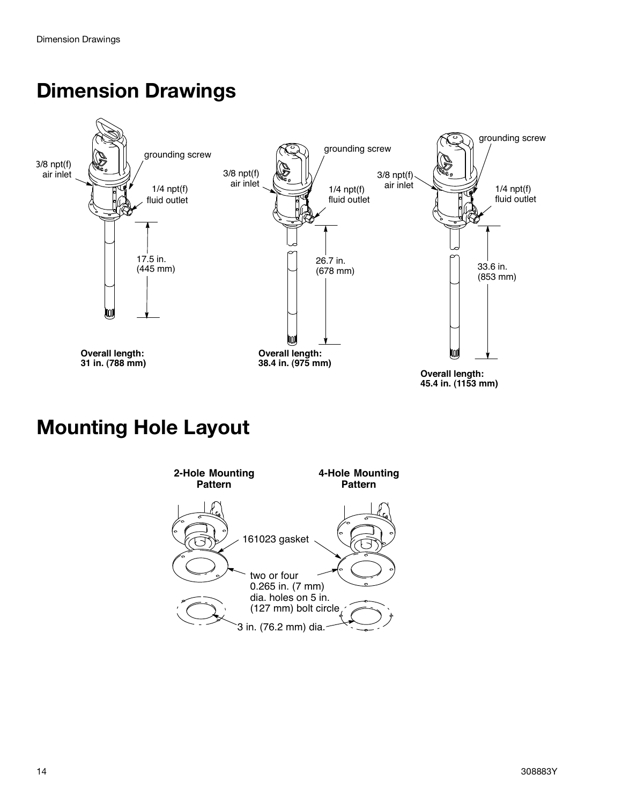# **Dimension Drawings**



# **Mounting Hole Layout**

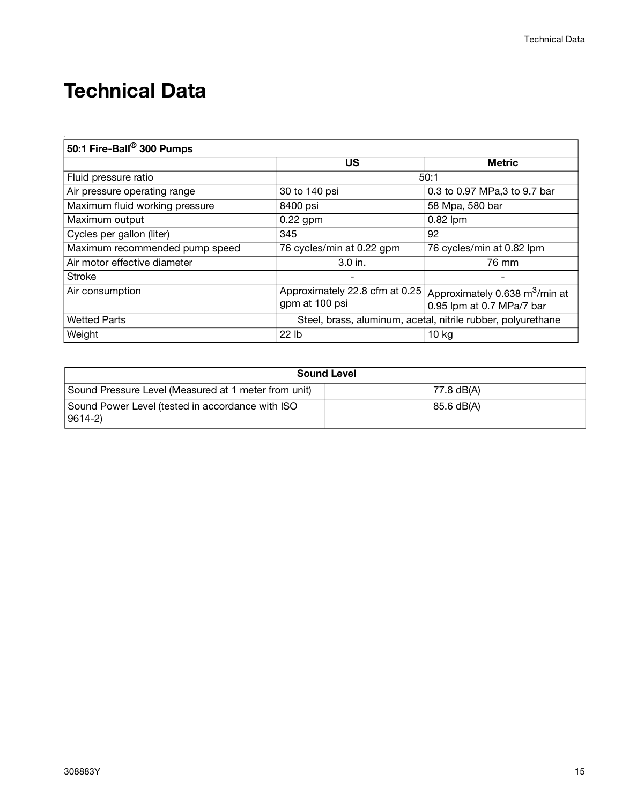# **Technical Data**

.

| 50:1 Fire-Ball® 300 Pumps      |                                                              |                                                                         |  |  |  |
|--------------------------------|--------------------------------------------------------------|-------------------------------------------------------------------------|--|--|--|
|                                | US                                                           | <b>Metric</b>                                                           |  |  |  |
| Fluid pressure ratio           | 50:1                                                         |                                                                         |  |  |  |
| Air pressure operating range   | 30 to 140 psi                                                | 0.3 to 0.97 MPa,3 to 9.7 bar                                            |  |  |  |
| Maximum fluid working pressure | 8400 psi                                                     | 58 Mpa, 580 bar                                                         |  |  |  |
| Maximum output                 | $0.22$ gpm                                                   | $0.82$ lpm                                                              |  |  |  |
| Cycles per gallon (liter)      | 345                                                          | 92                                                                      |  |  |  |
| Maximum recommended pump speed | 76 cycles/min at 0.22 gpm                                    | 76 cycles/min at 0.82 lpm                                               |  |  |  |
| Air motor effective diameter   | $3.0$ in.                                                    | 76 mm                                                                   |  |  |  |
| Stroke                         |                                                              |                                                                         |  |  |  |
| Air consumption                | Approximately 22.8 cfm at 0.25<br>gpm at 100 psi             | Approximately 0.638 m <sup>3</sup> /min at<br>0.95 lpm at 0.7 MPa/7 bar |  |  |  |
| <b>Wetted Parts</b>            | Steel, brass, aluminum, acetal, nitrile rubber, polyurethane |                                                                         |  |  |  |
| Weight                         | 22 lb                                                        | 10 kg                                                                   |  |  |  |

| <b>Sound Level</b>                                                   |            |  |  |
|----------------------------------------------------------------------|------------|--|--|
| Sound Pressure Level (Measured at 1 meter from unit)                 | 77.8 dB(A) |  |  |
| Sound Power Level (tested in accordance with ISO<br>$ 9614-2\rangle$ | 85.6 dB(A) |  |  |